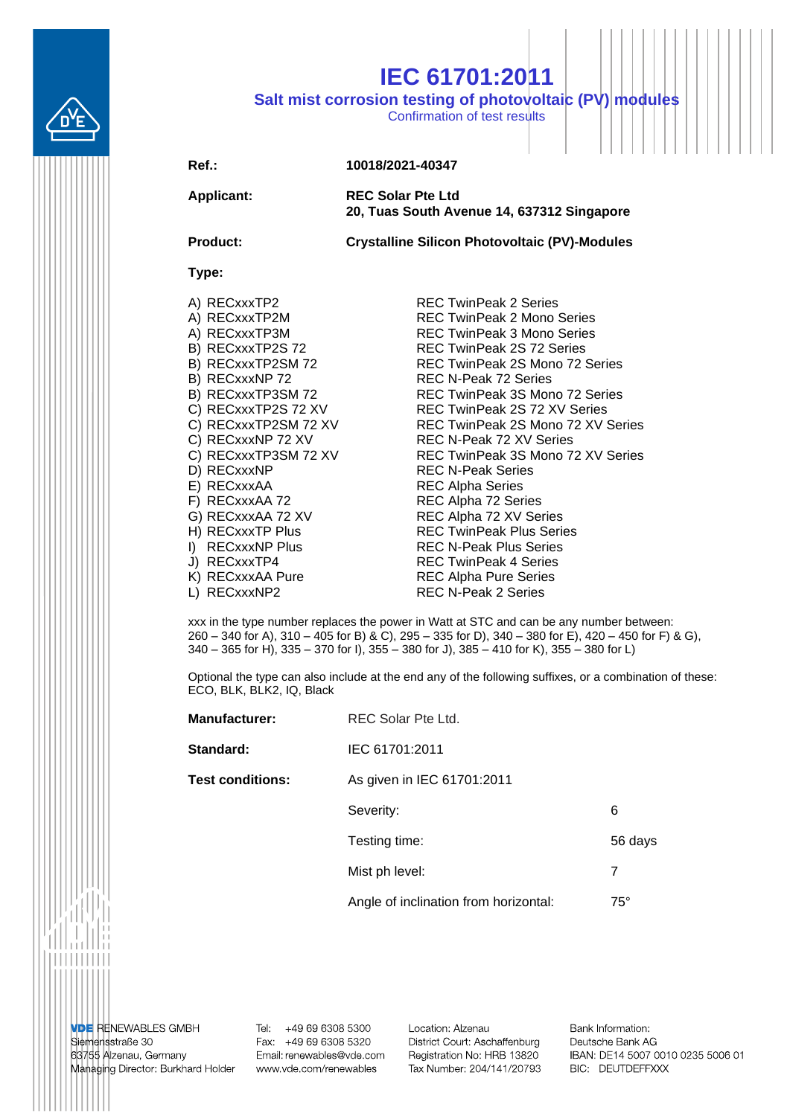

## **IEC 61701:2011**

**Salt mist corrosion testing of photovoltaic (PV) modules**

Confirmation of test results

## **Ref.: 10018/2021-40347**

**Applicant: REC Solar Pte Ltd 20, Tuas South Avenue 14, 637312 Singapore**

**Product: Crystalline Silicon Photovoltaic (PV)-Modules**

## **Type:**

- 
- 
- 
- 
- 
- 
- 
- 
- 
- 
- 
- 
- 
- 
- 
- 
- 
- 
- 
- 
- 

A) RECxxxTP2 REC TwinPeak 2 Series A) RECxxxTP2M REC TwinPeak 2 Mono Series A) RECxxxTP3M REC TwinPeak 3 Mono Series B) RECxxxTP2S 72 REC TwinPeak 2S 72 Series B) RECxxxTP2SM 72 REC TwinPeak 2S Mono 72 Series B) RECxxxNP 72 REC N-Peak 72 Series B) RECxxxTP3SM 72 REC TwinPeak 3S Mono 72 Series C) RECxxxTP2S 72 XV REC TwinPeak 2S 72 XV Series C) RECxxxTP2SM 72 XV REC TwinPeak 2S Mono 72 XV Series C) RECxxxNP 72 XV REC N-Peak 72 XV Series C) RECxxxTP3SM 72 XV REC TwinPeak 3S Mono 72 XV Series<br>D) RECxxxNP REC N-Peak Series REC N-Peak Series E) RECxxxAA REC Alpha Series F) RECxxxAA 72 REC Alpha 72 Series G) RECxxxAA 72 XV REC Alpha 72 XV Series H) RECXXXTP Plus REC TwinPeak Plus Series I) RECxxxNP Plus REC N-Peak Plus Series J) RECxxxTP4 REC TwinPeak 4 Series K) RECxxxAA Pure REC Alpha Pure Series L) RECxxxNP2 REC N-Peak 2 Series

xxx in the type number replaces the power in Watt at STC and can be any number between: 260 – 340 for A), 310 – 405 for B) & C), 295 – 335 for D), 340 – 380 for E), 420 – 450 for F) & G), 340 – 365 for H), 335 – 370 for I), 355 – 380 for J), 385 – 410 for K), 355 – 380 for L)

Optional the type can also include at the end any of the following suffixes, or a combination of these: ECO, BLK, BLK2, IQ, Black

| <b>Manufacturer:</b>    | REC Solar Pte Ltd.                    |              |  |
|-------------------------|---------------------------------------|--------------|--|
| Standard:               | IEC 61701:2011                        |              |  |
| <b>Test conditions:</b> | As given in IEC 61701:2011            |              |  |
|                         | Severity:                             | 6            |  |
|                         | Testing time:                         | 56 days      |  |
|                         | Mist ph level:                        | 7            |  |
|                         | Angle of inclination from horizontal: | $75^{\circ}$ |  |

**VDE RENEWABLES GMBH** Siemensstraße 30 63755 Alzenau, Germany Managing Director: Burkhard Holder

Tel: +49 69 6308 5300 Fax: +49 69 6308 5320 Email: renewables@vde.com www.vde.com/renewables

Location: Alzenau District Court: Aschaffenburg Registration No: HRB 13820 Tax Number: 204/141/20793

Bank Information: Deutsche Bank AG IBAN: DE14 5007 0010 0235 5006 01 BIC: DEUTDEFFXXX